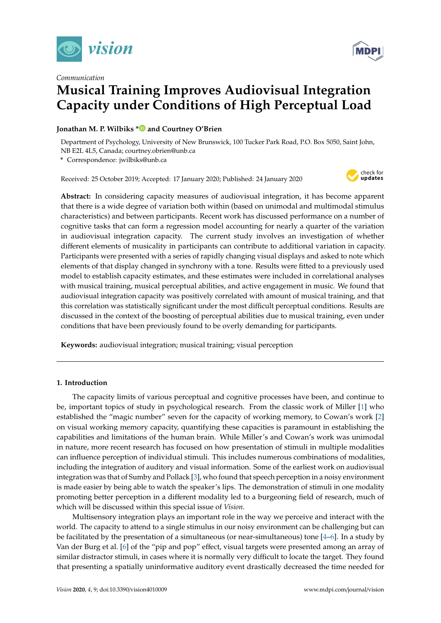

## *Communication*



# **Musical Training Improves Audiovisual Integration Capacity under Conditions of High Perceptual Load**

## **Jonathan M. P. Wilbiks [\\*](https://orcid.org/0000-0002-6882-5215) and Courtney O'Brien**

Department of Psychology, University of New Brunswick, 100 Tucker Park Road, P.O. Box 5050, Saint John, NB E2L 4L5, Canada; courtney.obrien@unb.ca

**\*** Correspondence: jwilbiks@unb.ca

Received: 25 October 2019; Accepted: 17 January 2020; Published: 24 January 2020



**Abstract:** In considering capacity measures of audiovisual integration, it has become apparent that there is a wide degree of variation both within (based on unimodal and multimodal stimulus characteristics) and between participants. Recent work has discussed performance on a number of cognitive tasks that can form a regression model accounting for nearly a quarter of the variation in audiovisual integration capacity. The current study involves an investigation of whether different elements of musicality in participants can contribute to additional variation in capacity. Participants were presented with a series of rapidly changing visual displays and asked to note which elements of that display changed in synchrony with a tone. Results were fitted to a previously used model to establish capacity estimates, and these estimates were included in correlational analyses with musical training, musical perceptual abilities, and active engagement in music. We found that audiovisual integration capacity was positively correlated with amount of musical training, and that this correlation was statistically significant under the most difficult perceptual conditions. Results are discussed in the context of the boosting of perceptual abilities due to musical training, even under conditions that have been previously found to be overly demanding for participants.

**Keywords:** audiovisual integration; musical training; visual perception

## **1. Introduction**

The capacity limits of various perceptual and cognitive processes have been, and continue to be, important topics of study in psychological research. From the classic work of Miller [\[1\]](#page-7-0) who established the "magic number" seven for the capacity of working memory, to Cowan's work [\[2\]](#page-7-1) on visual working memory capacity, quantifying these capacities is paramount in establishing the capabilities and limitations of the human brain. While Miller's and Cowan's work was unimodal in nature, more recent research has focused on how presentation of stimuli in multiple modalities can influence perception of individual stimuli. This includes numerous combinations of modalities, including the integration of auditory and visual information. Some of the earliest work on audiovisual integration was that of Sumby and Pollack [\[3\]](#page-7-2), who found that speech perception in a noisy environment is made easier by being able to watch the speaker's lips. The demonstration of stimuli in one modality promoting better perception in a different modality led to a burgeoning field of research, much of which will be discussed within this special issue of *Vision*.

Multisensory integration plays an important role in the way we perceive and interact with the world. The capacity to attend to a single stimulus in our noisy environment can be challenging but can be facilitated by the presentation of a simultaneous (or near-simultaneous) tone [\[4](#page-7-3)[–6\]](#page-7-4). In a study by Van der Burg et al. [\[6\]](#page-7-4) of the "pip and pop" effect, visual targets were presented among an array of similar distractor stimuli, in cases where it is normally very difficult to locate the target. They found that presenting a spatially uninformative auditory event drastically decreased the time needed for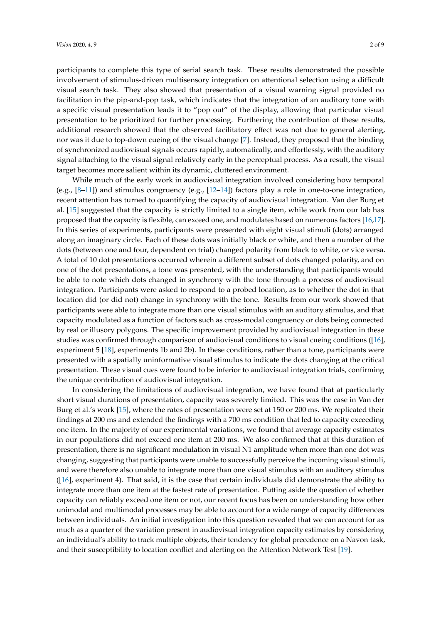participants to complete this type of serial search task. These results demonstrated the possible involvement of stimulus-driven multisensory integration on attentional selection using a difficult visual search task. They also showed that presentation of a visual warning signal provided no facilitation in the pip-and-pop task, which indicates that the integration of an auditory tone with a specific visual presentation leads it to "pop out" of the display, allowing that particular visual presentation to be prioritized for further processing. Furthering the contribution of these results, additional research showed that the observed facilitatory effect was not due to general alerting, nor was it due to top-down cueing of the visual change [\[7\]](#page-7-5). Instead, they proposed that the binding of synchronized audiovisual signals occurs rapidly, automatically, and effortlessly, with the auditory signal attaching to the visual signal relatively early in the perceptual process. As a result, the visual target becomes more salient within its dynamic, cluttered environment.

While much of the early work in audiovisual integration involved considering how temporal (e.g., [\[8–](#page-7-6)[11\]](#page-7-7)) and stimulus congruency (e.g., [\[12](#page-7-8)[–14\]](#page-7-9)) factors play a role in one-to-one integration, recent attention has turned to quantifying the capacity of audiovisual integration. Van der Burg et al. [\[15\]](#page-8-0) suggested that the capacity is strictly limited to a single item, while work from our lab has proposed that the capacity is flexible, can exceed one, and modulates based on numerous factors [\[16](#page-8-1)[,17\]](#page-8-2). In this series of experiments, participants were presented with eight visual stimuli (dots) arranged along an imaginary circle. Each of these dots was initially black or white, and then a number of the dots (between one and four, dependent on trial) changed polarity from black to white, or vice versa. A total of 10 dot presentations occurred wherein a different subset of dots changed polarity, and on one of the dot presentations, a tone was presented, with the understanding that participants would be able to note which dots changed in synchrony with the tone through a process of audiovisual integration. Participants were asked to respond to a probed location, as to whether the dot in that location did (or did not) change in synchrony with the tone. Results from our work showed that participants were able to integrate more than one visual stimulus with an auditory stimulus, and that capacity modulated as a function of factors such as cross-modal congruency or dots being connected by real or illusory polygons. The specific improvement provided by audiovisual integration in these studies was confirmed through comparison of audiovisual conditions to visual cueing conditions ([\[16\]](#page-8-1), experiment 5 [\[18\]](#page-8-3), experiments 1b and 2b). In these conditions, rather than a tone, participants were presented with a spatially uninformative visual stimulus to indicate the dots changing at the critical presentation. These visual cues were found to be inferior to audiovisual integration trials, confirming the unique contribution of audiovisual integration.

In considering the limitations of audiovisual integration, we have found that at particularly short visual durations of presentation, capacity was severely limited. This was the case in Van der Burg et al.'s work [\[15\]](#page-8-0), where the rates of presentation were set at 150 or 200 ms. We replicated their findings at 200 ms and extended the findings with a 700 ms condition that led to capacity exceeding one item. In the majority of our experimental variations, we found that average capacity estimates in our populations did not exceed one item at 200 ms. We also confirmed that at this duration of presentation, there is no significant modulation in visual N1 amplitude when more than one dot was changing, suggesting that participants were unable to successfully perceive the incoming visual stimuli, and were therefore also unable to integrate more than one visual stimulus with an auditory stimulus ([\[16\]](#page-8-1), experiment 4). That said, it is the case that certain individuals did demonstrate the ability to integrate more than one item at the fastest rate of presentation. Putting aside the question of whether capacity can reliably exceed one item or not, our recent focus has been on understanding how other unimodal and multimodal processes may be able to account for a wide range of capacity differences between individuals. An initial investigation into this question revealed that we can account for as much as a quarter of the variation present in audiovisual integration capacity estimates by considering an individual's ability to track multiple objects, their tendency for global precedence on a Navon task, and their susceptibility to location conflict and alerting on the Attention Network Test [\[19\]](#page-8-4).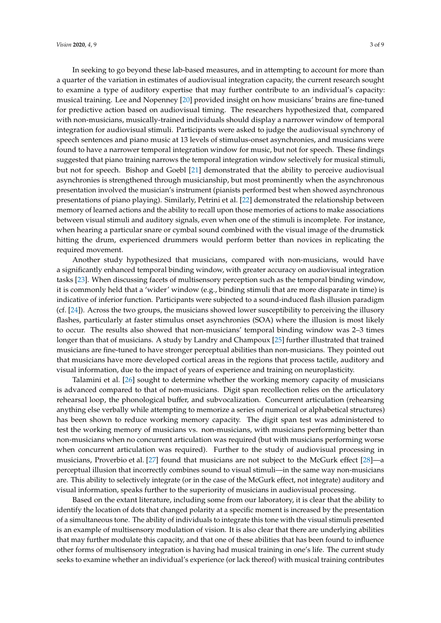In seeking to go beyond these lab-based measures, and in attempting to account for more than a quarter of the variation in estimates of audiovisual integration capacity, the current research sought to examine a type of auditory expertise that may further contribute to an individual's capacity: musical training. Lee and Nopenney [\[20\]](#page-8-5) provided insight on how musicians' brains are fine-tuned for predictive action based on audiovisual timing. The researchers hypothesized that, compared with non-musicians, musically-trained individuals should display a narrower window of temporal integration for audiovisual stimuli. Participants were asked to judge the audiovisual synchrony of speech sentences and piano music at 13 levels of stimulus-onset asynchronies, and musicians were found to have a narrower temporal integration window for music, but not for speech. These findings suggested that piano training narrows the temporal integration window selectively for musical stimuli, but not for speech. Bishop and Goebl [\[21\]](#page-8-6) demonstrated that the ability to perceive audiovisual asynchronies is strengthened through musicianship, but most prominently when the asynchronous presentation involved the musician's instrument (pianists performed best when showed asynchronous presentations of piano playing). Similarly, Petrini et al. [\[22\]](#page-8-7) demonstrated the relationship between memory of learned actions and the ability to recall upon those memories of actions to make associations between visual stimuli and auditory signals, even when one of the stimuli is incomplete. For instance, when hearing a particular snare or cymbal sound combined with the visual image of the drumstick hitting the drum, experienced drummers would perform better than novices in replicating the required movement.

Another study hypothesized that musicians, compared with non-musicians, would have a significantly enhanced temporal binding window, with greater accuracy on audiovisual integration tasks [\[23\]](#page-8-8). When discussing facets of multisensory perception such as the temporal binding window, it is commonly held that a 'wider' window (e.g., binding stimuli that are more disparate in time) is indicative of inferior function. Participants were subjected to a sound-induced flash illusion paradigm (cf. [\[24\]](#page-8-9)). Across the two groups, the musicians showed lower susceptibility to perceiving the illusory flashes, particularly at faster stimulus onset asynchronies (SOA) where the illusion is most likely to occur. The results also showed that non-musicians' temporal binding window was 2–3 times longer than that of musicians. A study by Landry and Champoux [\[25\]](#page-8-10) further illustrated that trained musicians are fine-tuned to have stronger perceptual abilities than non-musicians. They pointed out that musicians have more developed cortical areas in the regions that process tactile, auditory and visual information, due to the impact of years of experience and training on neuroplasticity.

Talamini et al. [\[26\]](#page-8-11) sought to determine whether the working memory capacity of musicians is advanced compared to that of non-musicians. Digit span recollection relies on the articulatory rehearsal loop, the phonological buffer, and subvocalization. Concurrent articulation (rehearsing anything else verbally while attempting to memorize a series of numerical or alphabetical structures) has been shown to reduce working memory capacity. The digit span test was administered to test the working memory of musicians vs. non-musicians, with musicians performing better than non-musicians when no concurrent articulation was required (but with musicians performing worse when concurrent articulation was required). Further to the study of audiovisual processing in musicians, Proverbio et al. [\[27\]](#page-8-12) found that musicians are not subject to the McGurk effect [\[28\]](#page-8-13)—a perceptual illusion that incorrectly combines sound to visual stimuli—in the same way non-musicians are. This ability to selectively integrate (or in the case of the McGurk effect, not integrate) auditory and visual information, speaks further to the superiority of musicians in audiovisual processing.

Based on the extant literature, including some from our laboratory, it is clear that the ability to identify the location of dots that changed polarity at a specific moment is increased by the presentation of a simultaneous tone. The ability of individuals to integrate this tone with the visual stimuli presented is an example of multisensory modulation of vision. It is also clear that there are underlying abilities that may further modulate this capacity, and that one of these abilities that has been found to influence other forms of multisensory integration is having had musical training in one's life. The current study seeks to examine whether an individual's experience (or lack thereof) with musical training contributes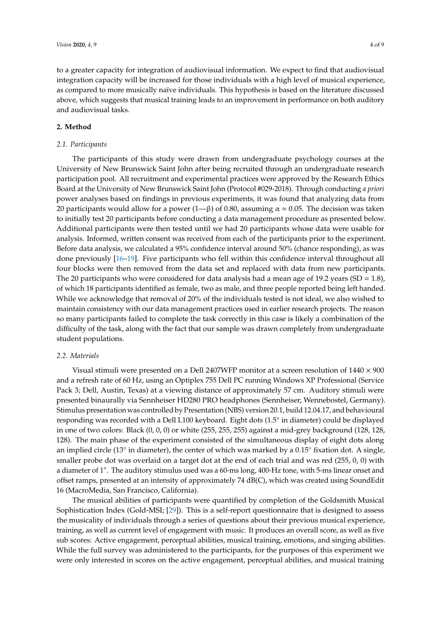to a greater capacity for integration of audiovisual information. We expect to find that audiovisual integration capacity will be increased for those individuals with a high level of musical experience, as compared to more musically naïve individuals. This hypothesis is based on the literature discussed above, which suggests that musical training leads to an improvement in performance on both auditory and audiovisual tasks.

### **2. Method**

#### *2.1. Participants*

The participants of this study were drawn from undergraduate psychology courses at the University of New Brunswick Saint John after being recruited through an undergraduate research participation pool. All recruitment and experimental practices were approved by the Research Ethics Board at the University of New Brunswick Saint John (Protocol #029-2018). Through conducting *a priori* power analyses based on findings in previous experiments, it was found that analyzing data from 20 participants would allow for a power (1—β) of 0.80, assuming  $\alpha$  = 0.05. The decision was taken to initially test 20 participants before conducting a data management procedure as presented below. Additional participants were then tested until we had 20 participants whose data were usable for analysis. Informed, written consent was received from each of the participants prior to the experiment. Before data analysis, we calculated a 95% confidence interval around 50% (chance responding), as was done previously [\[16–](#page-8-1)[19\]](#page-8-4). Five participants who fell within this confidence interval throughout all four blocks were then removed from the data set and replaced with data from new participants. The 20 participants who were considered for data analysis had a mean age of 19.2 years (SD = 1.8), of which 18 participants identified as female, two as male, and three people reported being left handed. While we acknowledge that removal of 20% of the individuals tested is not ideal, we also wished to maintain consistency with our data management practices used in earlier research projects. The reason so many participants failed to complete the task correctly in this case is likely a combination of the difficulty of the task, along with the fact that our sample was drawn completely from undergraduate student populations.

#### *2.2. Materials*

Visual stimuli were presented on a Dell 2407WFP monitor at a screen resolution of  $1440 \times 900$ and a refresh rate of 60 Hz, using an Optiplex 755 Dell PC running Windows XP Professional (Service Pack 3; Dell, Austin, Texas) at a viewing distance of approximately 57 cm. Auditory stimuli were presented binaurally via Sennheiser HD280 PRO headphones (Sennheiser, Wennebostel, Germany). Stimulus presentation was controlled by Presentation (NBS) version 20.1, build 12.04.17, and behavioural responding was recorded with a Dell L100 keyboard. Eight dots (1.5◦ in diameter) could be displayed in one of two colors: Black (0, 0, 0) or white (255, 255, 255) against a mid-grey background (128, 128, 128). The main phase of the experiment consisted of the simultaneous display of eight dots along an implied circle (13° in diameter), the center of which was marked by a 0.15° fixation dot. A single, smaller probe dot was overlaid on a target dot at the end of each trial and was red (255, 0, 0) with a diameter of 1°. The auditory stimulus used was a 60-ms long, 400-Hz tone, with 5-ms linear onset and offset ramps, presented at an intensity of approximately 74 dB(C), which was created using SoundEdit 16 (MacroMedia, San Francisco, California).

The musical abilities of participants were quantified by completion of the Goldsmith Musical Sophistication Index (Gold-MSI; [\[29\]](#page-8-14)). This is a self-report questionnaire that is designed to assess the musicality of individuals through a series of questions about their previous musical experience, training, as well as current level of engagement with music. It produces an overall score, as well as five sub scores: Active engagement, perceptual abilities, musical training, emotions, and singing abilities. While the full survey was administered to the participants, for the purposes of this experiment we were only interested in scores on the active engagement, perceptual abilities, and musical training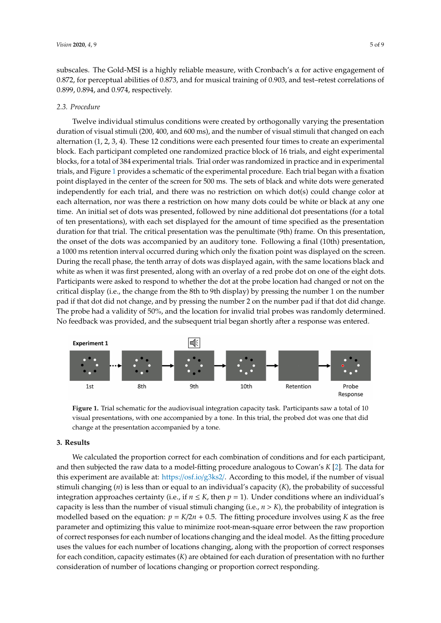subscales. The Gold-MSI is a highly reliable measure, with Cronbach's  $\alpha$  for active engagement of 0.872, for perceptual abilities of 0.873, and for musical training of 0.903, and test–retest correlations of 0.899, 0.894, and 0.974, respectively.

#### *2.3. Procedure*

Twelve individual stimulus conditions were created by orthogonally varying the presentation duration of visual stimuli (200, 400, and 600 ms), and the number of visual stimuli that changed on each alternation (1, 2, 3, 4). These 12 conditions were each presented four times to create an experimental block. Each participant completed one randomized practice block of 16 trials, and eight experimental blocks, for a total of 384 experimental trials. Trial order was randomized in practice and in experimental trials, and Figure [1](#page-4-0) provides a schematic of the experimental procedure. Each trial began with a fixation point displayed in the center of the screen for 500 ms. The sets of black and white dots were generated independently for each trial, and there was no restriction on which dot(s) could change color at each alternation, nor was there a restriction on how many dots could be white or black at any one time. An initial set of dots was presented, followed by nine additional dot presentations (for a total of ten presentations), with each set displayed for the amount of time specified as the presentation duration for that trial. The critical presentation was the penultimate (9th) frame. On this presentation, the onset of the dots was accompanied by an auditory tone. Following a final (10th) presentation, a 1000 ms retention interval occurred during which only the fixation point was displayed on the screen. During the recall phase, the tenth array of dots was displayed again, with the same locations black and white as when it was first presented, along with an overlay of a red probe dot on one of the eight dots. Participants were asked to respond to whether the dot at the probe location had changed or not on the critical display (i.e., the change from the 8th to 9th display) by pressing the number 1 on the number pad if that dot did not change, and by pressing the number 2 on the number pad if that dot did change. The probe had a validity of 50%, and the location for invalid trial probes was randomly determined. No feedback was provided, and the subsequent trial began shortly after a response was entered.

<span id="page-4-0"></span>

**Figure 1.** Trial schematic for the audiovisual integration capacity task. Participants saw a total of 10 visual presentations, with one accompanied by a tone. In this trial, the probed dot was one that did change at the presentation accompanied by a tone.

#### **3. Results**

We calculated the proportion correct for each combination of conditions and for each participant, and then subjected the raw data to a model-fitting procedure analogous to Cowan's *K* [\[2\]](#page-7-1). The data for this experiment are available at: https://osf.io/[g3ks2](https://osf.io/g3ks2/)/. According to this model, if the number of visual stimuli changing (*n*) is less than or equal to an individual's capacity (*K*), the probability of successful integration approaches certainty (i.e., if  $n \leq K$ , then  $p = 1$ ). Under conditions where an individual's capacity is less than the number of visual stimuli changing (i.e.,  $n > K$ ), the probability of integration is modelled based on the equation:  $p = K/2n + 0.5$ . The fitting procedure involves using K as the free parameter and optimizing this value to minimize root-mean-square error between the raw proportion of correct responses for each number of locations changing and the ideal model. As the fitting procedure uses the values for each number of locations changing, along with the proportion of correct responses for each condition, capacity estimates (*K*) are obtained for each duration of presentation with no further consideration of number of locations changing or proportion correct responding.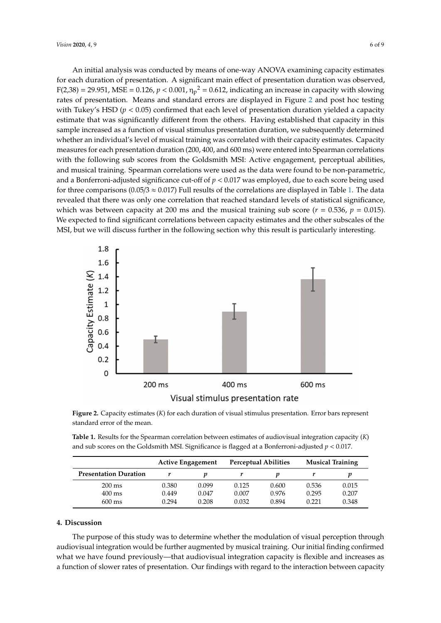An initial analysis was conducted by means of one-way ANOVA examining capacity estimates for each duration of presentation. A significant main effect of presentation duration was observed,  $F(2,38) = 29.951$ , MSE = 0.126,  $p < 0.001$ ,  $\eta_p^2 = 0.612$ , indicating an increase in capacity with slowing rates of presentation. Means and standard errors are displayed in Figure [2](#page-5-0) and post hoc testing with Tukey's HSD ( $p < 0.05$ ) confirmed that each level of presentation duration yielded a capacity estimate that was significantly different from the others. Having established that capacity in this sample increased as a function of visual stimulus presentation duration, we subsequently determined whether an individual's level of musical training was correlated with their capacity estimates. Capacity measures for each presentation duration (200, 400, and 600 ms) were entered into Spearman correlations with the following sub scores from the Goldsmith MSI: Active engagement, perceptual abilities, and musical training. Spearman correlations were used as the data were found to be non-parametric, and a Bonferroni-adjusted significance cut-off of *p* < 0.017 was employed, due to each score being used for three comparisons (0.05/3  $\approx$  0.017) Full results of the correlations are displayed in Table [1.](#page-5-1) The data revealed that there was only one correlation that reached standard levels of statistical significance, which was between capacity at 200 ms and the musical training sub score ( $r = 0.536$ ,  $p = 0.015$ ). We expected to find significant correlations between capacity estimates and the other subscales of the MSI, but we will discuss further in the following section why this result is particularly interesting.

<span id="page-5-0"></span>

**Figure 2.** Capacity estimates (*K*) for each duration of visual stimulus presentation. Error bars represent standard error of the mean.

<span id="page-5-1"></span>

| Table 1. Results for the Spearman correlation between estimates of audiovisual integration capacity $(K)$ |  |
|-----------------------------------------------------------------------------------------------------------|--|
| and sub scores on the Goldsmith MSI. Significance is flagged at a Bonferroni-adjusted $p < 0.017$ .       |  |

|                              | <b>Active Engagement</b> |       | <b>Perceptual Abilities</b> |       | <b>Musical Training</b> |       |
|------------------------------|--------------------------|-------|-----------------------------|-------|-------------------------|-------|
| <b>Presentation Duration</b> |                          |       |                             |       |                         |       |
| $200 \text{ ms}$             | 0.380                    | 0.099 | 0.125                       | 0.600 | 0.536                   | 0.015 |
| $400 \text{ ms}$             | 0.449                    | 0.047 | 0.007                       | 0.976 | 0.295                   | 0.207 |
| $600 \text{ ms}$             | 0.294                    | 0.208 | 0.032                       | 0.894 | 0.221                   | 0.348 |

#### **4. Discussion**

The purpose of this study was to determine whether the modulation of visual perception through audiovisual integration would be further augmented by musical training. Our initial finding confirmed what we have found previously—that audiovisual integration capacity is flexible and increases as a function of slower rates of presentation. Our findings with regard to the interaction between capacity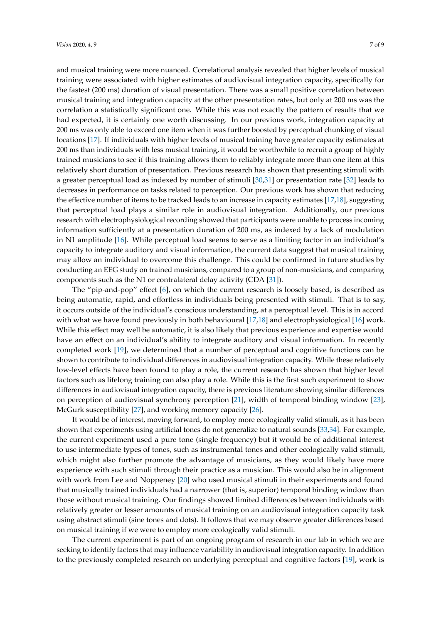and musical training were more nuanced. Correlational analysis revealed that higher levels of musical training were associated with higher estimates of audiovisual integration capacity, specifically for the fastest (200 ms) duration of visual presentation. There was a small positive correlation between musical training and integration capacity at the other presentation rates, but only at 200 ms was the correlation a statistically significant one. While this was not exactly the pattern of results that we had expected, it is certainly one worth discussing. In our previous work, integration capacity at 200 ms was only able to exceed one item when it was further boosted by perceptual chunking of visual locations [\[17\]](#page-8-2). If individuals with higher levels of musical training have greater capacity estimates at 200 ms than individuals with less musical training, it would be worthwhile to recruit a group of highly trained musicians to see if this training allows them to reliably integrate more than one item at this relatively short duration of presentation. Previous research has shown that presenting stimuli with a greater perceptual load as indexed by number of stimuli [\[30,](#page-8-15)[31\]](#page-8-16) or presentation rate [\[32\]](#page-8-17) leads to decreases in performance on tasks related to perception. Our previous work has shown that reducing the effective number of items to be tracked leads to an increase in capacity estimates [\[17](#page-8-2)[,18\]](#page-8-3), suggesting that perceptual load plays a similar role in audiovisual integration. Additionally, our previous research with electrophysiological recording showed that participants were unable to process incoming information sufficiently at a presentation duration of 200 ms, as indexed by a lack of modulation in N1 amplitude [\[16\]](#page-8-1). While perceptual load seems to serve as a limiting factor in an individual's capacity to integrate auditory and visual information, the current data suggest that musical training may allow an individual to overcome this challenge. This could be confirmed in future studies by conducting an EEG study on trained musicians, compared to a group of non-musicians, and comparing components such as the N1 or contralateral delay activity (CDA [\[31\]](#page-8-16)).

The "pip-and-pop" effect [\[6\]](#page-7-4), on which the current research is loosely based, is described as being automatic, rapid, and effortless in individuals being presented with stimuli. That is to say, it occurs outside of the individual's conscious understanding, at a perceptual level. This is in accord with what we have found previously in both behavioural [\[17,](#page-8-2)[18\]](#page-8-3) and electrophysiological [\[16\]](#page-8-1) work. While this effect may well be automatic, it is also likely that previous experience and expertise would have an effect on an individual's ability to integrate auditory and visual information. In recently completed work [\[19\]](#page-8-4), we determined that a number of perceptual and cognitive functions can be shown to contribute to individual differences in audiovisual integration capacity. While these relatively low-level effects have been found to play a role, the current research has shown that higher level factors such as lifelong training can also play a role. While this is the first such experiment to show differences in audiovisual integration capacity, there is previous literature showing similar differences on perception of audiovisual synchrony perception [\[21\]](#page-8-6), width of temporal binding window [\[23\]](#page-8-8), McGurk susceptibility [\[27\]](#page-8-12), and working memory capacity [\[26\]](#page-8-11).

It would be of interest, moving forward, to employ more ecologically valid stimuli, as it has been shown that experiments using artificial tones do not generalize to natural sounds [\[33,](#page-8-18)[34\]](#page-8-19). For example, the current experiment used a pure tone (single frequency) but it would be of additional interest to use intermediate types of tones, such as instrumental tones and other ecologically valid stimuli, which might also further promote the advantage of musicians, as they would likely have more experience with such stimuli through their practice as a musician. This would also be in alignment with work from Lee and Noppeney [\[20\]](#page-8-5) who used musical stimuli in their experiments and found that musically trained individuals had a narrower (that is, superior) temporal binding window than those without musical training. Our findings showed limited differences between individuals with relatively greater or lesser amounts of musical training on an audiovisual integration capacity task using abstract stimuli (sine tones and dots). It follows that we may observe greater differences based on musical training if we were to employ more ecologically valid stimuli.

The current experiment is part of an ongoing program of research in our lab in which we are seeking to identify factors that may influence variability in audiovisual integration capacity. In addition to the previously completed research on underlying perceptual and cognitive factors [\[19\]](#page-8-4), work is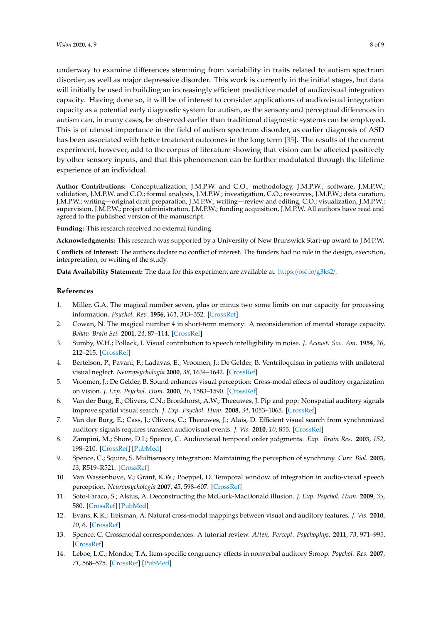underway to examine differences stemming from variability in traits related to autism spectrum disorder, as well as major depressive disorder. This work is currently in the initial stages, but data will initially be used in building an increasingly efficient predictive model of audiovisual integration capacity. Having done so, it will be of interest to consider applications of audiovisual integration capacity as a potential early diagnostic system for autism, as the sensory and perceptual differences in autism can, in many cases, be observed earlier than traditional diagnostic systems can be employed. This is of utmost importance in the field of autism spectrum disorder, as earlier diagnosis of ASD has been associated with better treatment outcomes in the long term [\[35\]](#page-8-20). The results of the current experiment, however, add to the corpus of literature showing that vision can be affected positively by other sensory inputs, and that this phenomenon can be further modulated through the lifetime experience of an individual.

**Author Contributions:** Conceptualization, J.M.P.W. and C.O.; methodology, J.M.P.W.; software, J.M.P.W.; validation, J.M.P.W. and C.O.; formal analysis, J.M.P.W.; investigation, C.O.; resources, J.M.P.W.; data curation, J.M.P.W.; writing—original draft preparation, J.M.P.W.; writing—review and editing, C.O.; visualization, J.M.P.W.; supervision, J.M.P.W.; project administration, J.M.P.W.; funding acquisition, J.M.P.W. All authors have read and agreed to the published version of the manuscript.

**Funding:** This research received no external funding.

**Acknowledgments:** This research was supported by a University of New Brunswick Start-up award to J.M.P.W.

**Conflicts of Interest:** The authors declare no conflict of interest. The funders had no role in the design, execution, interpretation, or writing of the study.

**Data Availability Statement:** The data for this experiment are available at: https://osf.io/[g3ks2](https://osf.io/g3ks2/)/.

#### **References**

- <span id="page-7-0"></span>1. Miller, G.A. The magical number seven, plus or minus two some limits on our capacity for processing information. *Psychol. Rev.* **1956**, *101*, 343–352. [\[CrossRef\]](http://dx.doi.org/10.1037/0033-295X.101.2.343)
- <span id="page-7-1"></span>2. Cowan, N. The magical number 4 in short-term memory: A reconsideration of mental storage capacity. *Behav. Brain Sci.* **2001**, *24*, 87–114. [\[CrossRef\]](http://dx.doi.org/10.1017/S0140525X01003922)
- <span id="page-7-2"></span>3. Sumby, W.H.; Pollack, I. Visual contribution to speech intelligibility in noise. *J. Acoust. Soc. Am.* **1954**, *26*, 212–215. [\[CrossRef\]](http://dx.doi.org/10.1121/1.1907309)
- <span id="page-7-3"></span>4. Bertelson, P.; Pavani, F.; Ladavas, E.; Vroomen, J.; De Gelder, B. Ventriloquism in patients with unilateral visual neglect. *Neuropsychologia* **2000**, *38*, 1634–1642. [\[CrossRef\]](http://dx.doi.org/10.1016/S0028-3932(00)00067-1)
- 5. Vroomen, J.; De Gelder, B. Sound enhances visual perception: Cross-modal effects of auditory organization on vision. *J. Exp. Psychol. Hum.* **2000**, *26*, 1583–1590. [\[CrossRef\]](http://dx.doi.org/10.1037/0096-1523.26.5.1583)
- <span id="page-7-4"></span>6. Van der Burg, E.; Olivers, C.N.; Bronkhorst, A.W.; Theeuwes, J. Pip and pop: Nonspatial auditory signals improve spatial visual search. *J. Exp. Psychol. Hum.* **2008**, *34*, 1053–1065. [\[CrossRef\]](http://dx.doi.org/10.1037/0096-1523.34.5.1053)
- <span id="page-7-5"></span>7. Van der Burg, E.; Cass, J.; Olivers, C.; Theeuwes, J.; Alais, D. Efficient visual search from synchronized auditory signals requires transient audiovisual events. *J. Vis.* **2010**, *10*, 855. [\[CrossRef\]](http://dx.doi.org/10.1167/10.7.855)
- <span id="page-7-6"></span>8. Zampini, M.; Shore, D.I.; Spence, C. Audiovisual temporal order judgments. *Exp. Brain Res.* **2003**, *152*, 198–210. [\[CrossRef\]](http://dx.doi.org/10.1007/s00221-003-1536-z) [\[PubMed\]](http://www.ncbi.nlm.nih.gov/pubmed/12879178)
- 9. Spence, C.; Squire, S. Multisensory integration: Maintaining the perception of synchrony. *Curr. Biol.* **2003**, *13*, R519–R521. [\[CrossRef\]](http://dx.doi.org/10.1016/S0960-9822(03)00445-7)
- 10. Van Wassenhove, V.; Grant, K.W.; Poeppel, D. Temporal window of integration in audio-visual speech perception. *Neuropsychologia* **2007**, *45*, 598–607. [\[CrossRef\]](http://dx.doi.org/10.1016/j.neuropsychologia.2006.01.001)
- <span id="page-7-7"></span>11. Soto-Faraco, S.; Alsius, A. Deconstructing the McGurk-MacDonald illusion. *J. Exp. Psychol. Hum.* **2009**, *35*, 580. [\[CrossRef\]](http://dx.doi.org/10.1037/a0013483) [\[PubMed\]](http://www.ncbi.nlm.nih.gov/pubmed/19331510)
- <span id="page-7-8"></span>12. Evans, K.K.; Treisman, A. Natural cross-modal mappings between visual and auditory features. *J. Vis.* **2010**, *10*, 6. [\[CrossRef\]](http://dx.doi.org/10.1167/10.1.6)
- 13. Spence, C. Crossmodal correspondences: A tutorial review. *Atten. Percept. Psychophys.* **2011**, *73*, 971–995. [\[CrossRef\]](http://dx.doi.org/10.3758/s13414-010-0073-7)
- <span id="page-7-9"></span>14. Leboe, L.C.; Mondor, T.A. Item-specific congruency effects in nonverbal auditory Stroop. *Psychol. Res.* **2007**, *71*, 568–575. [\[CrossRef\]](http://dx.doi.org/10.1007/s00426-006-0049-3) [\[PubMed\]](http://www.ncbi.nlm.nih.gov/pubmed/16636841)